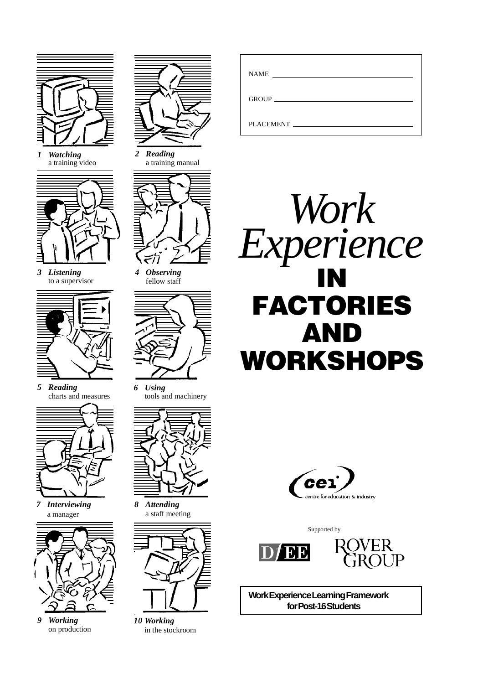

*1 Watching* a training video



*3 Listening* to a supervisor



*5 Reading* charts and measures



*7 Interviewing* a manager



*9 Working* on production



*2 Reading* a training manual



*4 Observing* fellow staff



*6 Using* tools and machinery



*8 Attending* a staff meeting



*10 Working* in the stockroom

| <b>NAME</b><br><u> 1980 - Jan Stein Harry Stein Harry Stein Harry Stein Harry Stein Harry Stein Harry Stein Harry Stein Harry St</u> |  |
|--------------------------------------------------------------------------------------------------------------------------------------|--|
|                                                                                                                                      |  |
| PLACEMENT                                                                                                                            |  |





Supported by





**Work Experience Learning Framework for Post-16 Students**